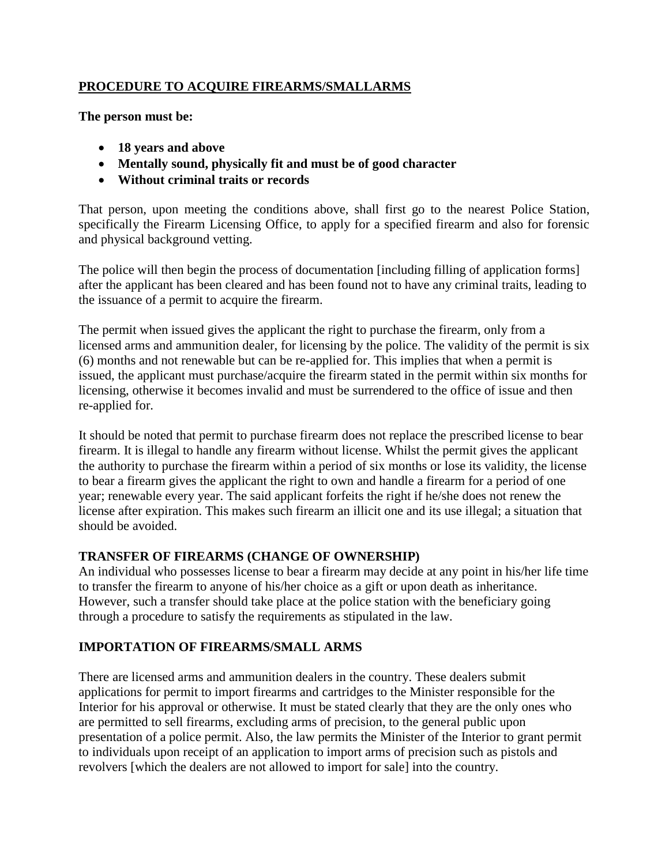### **PROCEDURE TO ACQUIRE FIREARMS/SMALLARMS**

**The person must be:**

- **18 years and above**
- **Mentally sound, physically fit and must be of good character**
- **Without criminal traits or records**

That person, upon meeting the conditions above, shall first go to the nearest Police Station, specifically the Firearm Licensing Office, to apply for a specified firearm and also for forensic and physical background vetting.

The police will then begin the process of documentation [including filling of application forms] after the applicant has been cleared and has been found not to have any criminal traits, leading to the issuance of a permit to acquire the firearm.

The permit when issued gives the applicant the right to purchase the firearm, only from a licensed arms and ammunition dealer, for licensing by the police. The validity of the permit is six (6) months and not renewable but can be re-applied for. This implies that when a permit is issued, the applicant must purchase/acquire the firearm stated in the permit within six months for licensing, otherwise it becomes invalid and must be surrendered to the office of issue and then re-applied for.

It should be noted that permit to purchase firearm does not replace the prescribed license to bear firearm. It is illegal to handle any firearm without license. Whilst the permit gives the applicant the authority to purchase the firearm within a period of six months or lose its validity, the license to bear a firearm gives the applicant the right to own and handle a firearm for a period of one year; renewable every year. The said applicant forfeits the right if he/she does not renew the license after expiration. This makes such firearm an illicit one and its use illegal; a situation that should be avoided.

# **TRANSFER OF FIREARMS (CHANGE OF OWNERSHIP)**

An individual who possesses license to bear a firearm may decide at any point in his/her life time to transfer the firearm to anyone of his/her choice as a gift or upon death as inheritance. However, such a transfer should take place at the police station with the beneficiary going through a procedure to satisfy the requirements as stipulated in the law.

# **IMPORTATION OF FIREARMS/SMALL ARMS**

There are licensed arms and ammunition dealers in the country. These dealers submit applications for permit to import firearms and cartridges to the Minister responsible for the Interior for his approval or otherwise. It must be stated clearly that they are the only ones who are permitted to sell firearms, excluding arms of precision, to the general public upon presentation of a police permit. Also, the law permits the Minister of the Interior to grant permit to individuals upon receipt of an application to import arms of precision such as pistols and revolvers [which the dealers are not allowed to import for sale] into the country.